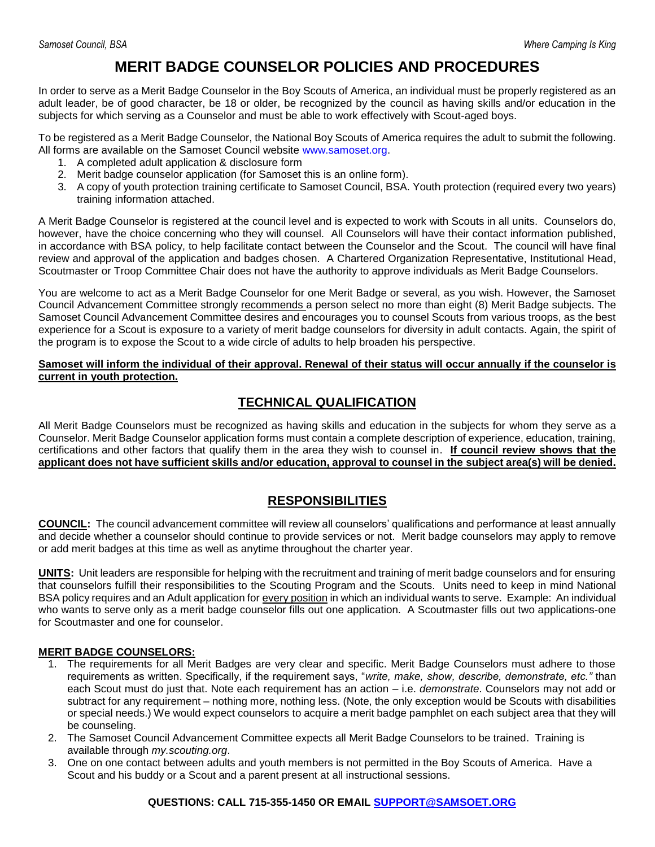## **MERIT BADGE COUNSELOR POLICIES AND PROCEDURES**

In order to serve as a Merit Badge Counselor in the Boy Scouts of America, an individual must be properly registered as an adult leader, be of good character, be 18 or older, be recognized by the council as having skills and/or education in the subjects for which serving as a Counselor and must be able to work effectively with Scout-aged boys.

To be registered as a Merit Badge Counselor, the National Boy Scouts of America requires the adult to submit the following. All forms are available on the Samoset Council website [www.samoset.org.](http://www.samoset.org/)

- 1. A completed adult application & disclosure form
- 2. Merit badge counselor application (for Samoset this is an online form).
- 3. A copy of youth protection training certificate to Samoset Council, BSA. Youth protection (required every two years) training information attached.

A Merit Badge Counselor is registered at the council level and is expected to work with Scouts in all units. Counselors do, however, have the choice concerning who they will counsel. All Counselors will have their contact information published, in accordance with BSA policy, to help facilitate contact between the Counselor and the Scout. The council will have final review and approval of the application and badges chosen. A Chartered Organization Representative, Institutional Head, Scoutmaster or Troop Committee Chair does not have the authority to approve individuals as Merit Badge Counselors.

You are welcome to act as a Merit Badge Counselor for one Merit Badge or several, as you wish. However, the Samoset Council Advancement Committee strongly recommends a person select no more than eight (8) Merit Badge subjects. The Samoset Council Advancement Committee desires and encourages you to counsel Scouts from various troops, as the best experience for a Scout is exposure to a variety of merit badge counselors for diversity in adult contacts. Again, the spirit of the program is to expose the Scout to a wide circle of adults to help broaden his perspective.

**Samoset will inform the individual of their approval. Renewal of their status will occur annually if the counselor is current in youth protection.**

## **TECHNICAL QUALIFICATION**

All Merit Badge Counselors must be recognized as having skills and education in the subjects for whom they serve as a Counselor. Merit Badge Counselor application forms must contain a complete description of experience, education, training, certifications and other factors that qualify them in the area they wish to counsel in. **If council review shows that the applicant does not have sufficient skills and/or education, approval to counsel in the subject area(s) will be denied.**

### **RESPONSIBILITIES**

**COUNCIL:** The council advancement committee will review all counselors' qualifications and performance at least annually and decide whether a counselor should continue to provide services or not. Merit badge counselors may apply to remove or add merit badges at this time as well as anytime throughout the charter year.

**UNITS:** Unit leaders are responsible for helping with the recruitment and training of merit badge counselors and for ensuring that counselors fulfill their responsibilities to the Scouting Program and the Scouts. Units need to keep in mind National BSA policy requires and an Adult application for every position in which an individual wants to serve. Example: An individual who wants to serve only as a merit badge counselor fills out one application. A Scoutmaster fills out two applications-one for Scoutmaster and one for counselor.

#### **MERIT BADGE COUNSELORS:**

- 1. The requirements for all Merit Badges are very clear and specific. Merit Badge Counselors must adhere to those requirements as written. Specifically, if the requirement says, "*write, make, show, describe, demonstrate, etc."* than each Scout must do just that. Note each requirement has an action – i.e. *demonstrate*. Counselors may not add or subtract for any requirement – nothing more, nothing less. (Note, the only exception would be Scouts with disabilities or special needs.) We would expect counselors to acquire a merit badge pamphlet on each subject area that they will be counseling.
- 2. The Samoset Council Advancement Committee expects all Merit Badge Counselors to be trained. Training is available through *my.scouting.org*.
- 3. One on one contact between adults and youth members is not permitted in the Boy Scouts of America. Have a Scout and his buddy or a Scout and a parent present at all instructional sessions.

#### **QUESTIONS: CALL 715-355-1450 OR EMAIL [SUPPORT@SAMSOET.ORG](mailto:support@samsoet.org)**